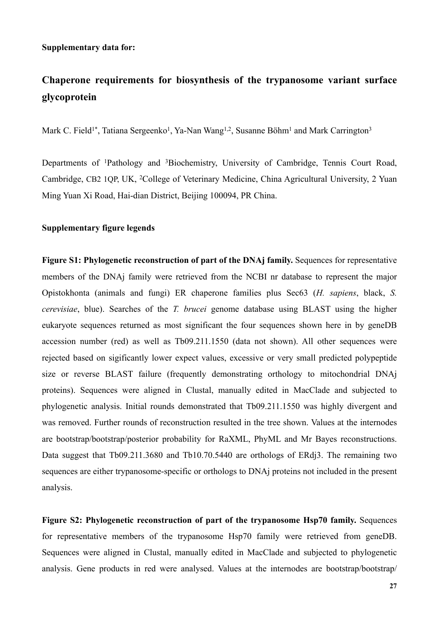## **Supplementary data for:**

## **Chaperone requirements for biosynthesis of the trypanosome variant surface glycoprotein**

Mark C. Field<sup>1\*</sup>, Tatiana Sergeenko<sup>1</sup>, Ya-Nan Wang<sup>1,2</sup>, Susanne Böhm<sup>1</sup> and Mark Carrington<sup>3</sup>

Departments of 1Pathology and 3Biochemistry, University of Cambridge, Tennis Court Road, Cambridge, CB2 1QP, UK, 2College of Veterinary Medicine, China Agricultural University, 2 Yuan Ming Yuan Xi Road, Hai-dian District, Beijing 100094, PR China.

## **Supplementary figure legends**

**Figure S1: Phylogenetic reconstruction of part of the DNAj family.** Sequences for representative members of the DNAj family were retrieved from the NCBI nr database to represent the major Opistokhonta (animals and fungi) ER chaperone families plus Sec63 (*H. sapiens*, black, *S. cerevisiae*, blue). Searches of the *T. brucei* genome database using BLAST using the higher eukaryote sequences returned as most significant the four sequences shown here in by geneDB accession number (red) as well as Tb09.211.1550 (data not shown). All other sequences were rejected based on sigificantly lower expect values, excessive or very small predicted polypeptide size or reverse BLAST failure (frequently demonstrating orthology to mitochondrial DNAj proteins). Sequences were aligned in Clustal, manually edited in MacClade and subjected to phylogenetic analysis. Initial rounds demonstrated that Tb09.211.1550 was highly divergent and was removed. Further rounds of reconstruction resulted in the tree shown. Values at the internodes are bootstrap/bootstrap/posterior probability for RaXML, PhyML and Mr Bayes reconstructions. Data suggest that Tb09.211.3680 and Tb10.70.5440 are orthologs of ERdj3. The remaining two sequences are either trypanosome-specific or orthologs to DNAj proteins not included in the present analysis.

**Figure S2: Phylogenetic reconstruction of part of the trypanosome Hsp70 family.** Sequences for representative members of the trypanosome Hsp70 family were retrieved from geneDB. Sequences were aligned in Clustal, manually edited in MacClade and subjected to phylogenetic analysis. Gene products in red were analysed. Values at the internodes are bootstrap/bootstrap/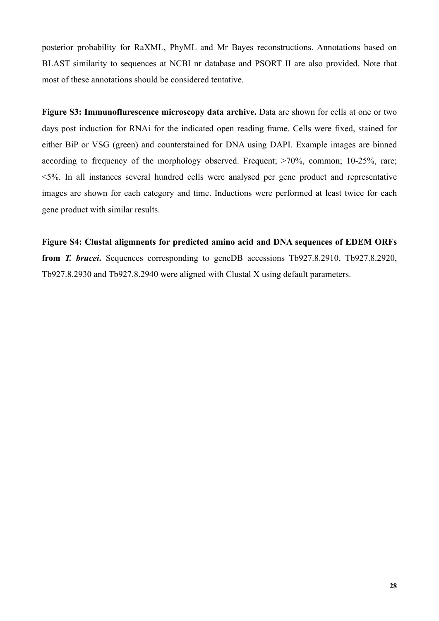posterior probability for RaXML, PhyML and Mr Bayes reconstructions. Annotations based on BLAST similarity to sequences at NCBI nr database and PSORT II are also provided. Note that most of these annotations should be considered tentative.

**Figure S3: Immunoflurescence microscopy data archive.** Data are shown for cells at one or two days post induction for RNAi for the indicated open reading frame. Cells were fixed, stained for either BiP or VSG (green) and counterstained for DNA using DAPI. Example images are binned according to frequency of the morphology observed. Frequent; >70%, common; 10-25%, rare; <5%. In all instances several hundred cells were analysed per gene product and representative images are shown for each category and time. Inductions were performed at least twice for each gene product with similar results.

**Figure S4: Clustal aligmnents for predicted amino acid and DNA sequences of EDEM ORFs from** *T. brucei***.** Sequences corresponding to geneDB accessions Tb927.8.2910, Tb927.8.2920, Tb927.8.2930 and Tb927.8.2940 were aligned with Clustal X using default parameters.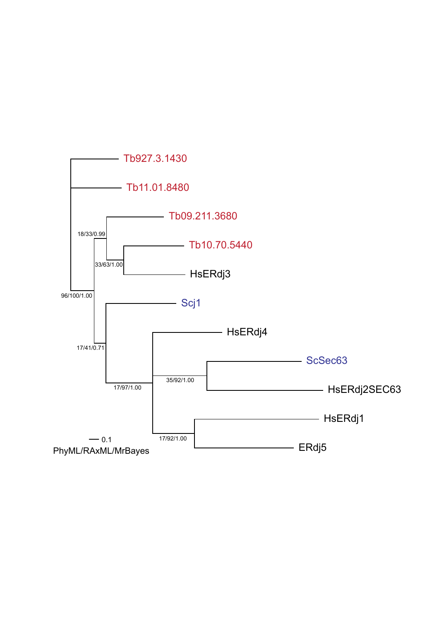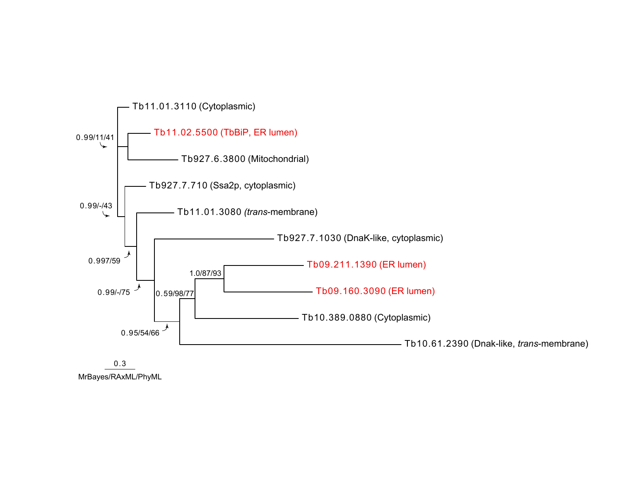

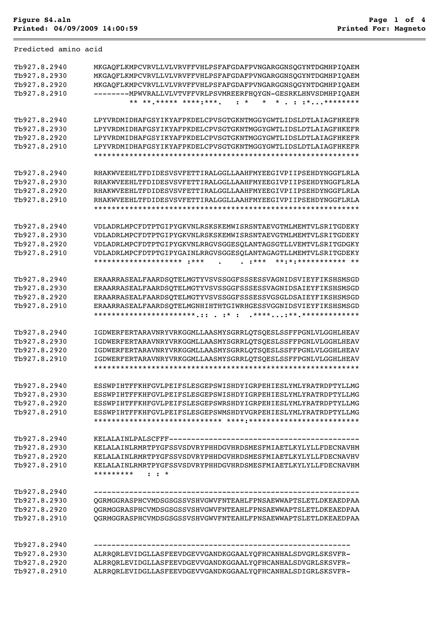Predicted amino acid

| Tb927.8.2940<br>Tb927.8.2930<br>Tb927.8.2920<br>Tb927.8.2910 | MKGAQFLKMPCVRVLLVLVRVFFVHLPSFAFGDAFPVNGARGGNSQGYNTDGMHPIQAEM<br>MKGAOFLKMPCVRVLLVLVRVFFVHLPSFAFGDAFPVNGARGGNSOGYNTDGMHPIOAEM<br>MKGAOFLKMPCVRVLLVLVRVFFVHLPSFAFGDAFPVNGARGGNSOGYNTDGMHPIOAEM<br>--------MPWVRALLVLVTVFFVRLPSVMREERFHOYGN-GESRKLHNVSDMHPIOAEM      |
|--------------------------------------------------------------|-------------------------------------------------------------------------------------------------------------------------------------------------------------------------------------------------------------------------------------------------------------------|
| Tb927.8.2940<br>Tb927.8.2930<br>Tb927.8.2920<br>Tb927.8.2910 | LPYVRDMIDHAFGSYIKYAFPKDELCPVSGTGKNTMGGYGWTLIDSLDTLAIAGFHKEFR<br>LPYVRDMIDHAFGSYIKYAFPKDELCPVSGTGKNTMGGYGWTLIDSLDTLAIAGFHKEFR<br>LPYVRDMIDHAFGSYIKYAFPKDELCPVSGTGKNTMGGYGWTLIDSLDTLAIAGFHKEFR<br>LPYVRDMIDHAFGSYIKYAFPKDELCPVSGTGKNTMGGYGWTLIDSLDTLAIAGFHKEFR      |
| Tb927.8.2940<br>Tb927.8.2930<br>Tb927.8.2920<br>Tb927.8.2910 | RHAKWVEEHLTFDIDESVSVFETTIRALGGLLAAHFMYEEGIVPIIPSEHDYNGGFLRLA<br>RHAKWVEEHLTFDIDESVSVFETTIRALGGLLAAHFMYEEGIVPIIPSEHDYNGGFLRLA<br>RHAKWVEEHLTFDIDESVSVFETTIRALGGLLAAHFMYEEGIVPIIPSEHDYNGGFLRLA<br>RHAKWVEEHLTFDIDESVSVFETTIRALGGLLAAHFMYEEGIVPIIPSEHDYNGGFLRLA      |
| Tb927.8.2940<br>Tb927.8.2930<br>Tb927.8.2920<br>Tb927.8.2910 | VDLADRLMPCFDTPTGIPYGKVNLRSKSKEMWISRSNTAEVGTMLMEMTVLSRITGDEKY<br>VDLADRLMPCFDTPTGIPYGKVNLRSKSKEMWISRSNTAEVGTMLMEMTVLSRITGDEKY<br>VDLADRLMPCFDTPTGIPYGKVNLRRGVSGGESOLANTAGSGTLLVEMTVLSRITGDGKY<br>VDLADRLMPCFDTPTGIPYGAINLRRGVSGGESQLANTAGAGTLLMEMTVLSRITGDEKY      |
| Tb927.8.2940<br>Tb927.8.2930<br>Tb927.8.2920<br>Tb927.8.2910 | ERAARRASEALFAARDSOTELMGTYVSVSSGGFSSSESSVAGNIDSVIEYFIKSHSMSGD<br>ERAARRASEALFAARDSOTELMGTYVSVSSGGFSSSESSVAGNIDSAIEYFIKSHSMSGD<br>ERAARRASEALFAARDSQTELMGTYVSVSSGGFSSSESSVGSGLDSAIEYFIKSHSMSGD<br>ERAARRASEALFAARDSOTELMGNHIHTHTGIWRHGESSVGGNIDSVIEYFIKSHSMSGD      |
| Tb927.8.2940<br>Tb927.8.2930<br>Tb927.8.2920<br>Tb927.8.2910 | IGDWERFERTARAVNRYVRKGGMLLAASMYSGRRLOTSOESLSSFFPGNLVLGGHLHEAV<br>IGDWERFERTARAVNRYVRKGGMLLAASMYSGRRLOTSOESLSSFFPGNLVLGGHLHEAV<br>IGDWERFERTARAVNRYVRKGGMLLAASMYSGRRLOTSOESLSSFFPGNLVLGGHLHEAV<br>IGDWERFERTARAVNRYVRKGGMLLAASMYSGRRLOTSOESLSSFFPGNLVLGGHLHEAV      |
| Tb927.8.2940<br>Tb927.8.2930<br>Tb927.8.2920<br>Tb927.8.2910 | ESSWPIHTFFKHFGVLPEIFSLESGEPSWISHDYIGRPEHIESLYMLYRATRDPTYLLMG<br>ESSWPIHTFFKHFGVLPEIFSLESGEPSWISHDYIGRPEHIESLYMLYRATRDPTYLLMG<br>ESSWPIHTFFKHFGVLPEIFSLESGEPSWRSHDYIGRPEHIESLYMLYRATRDPTYLLMG<br>ESSWPIHTFFKHFGVLPEIFSLESGEPSWMSHDYVGRPEHIESLYMLYRATRDPTYLLMG      |
| Tb927.8.2940<br>Tb927.8.2930<br>Tb927.8.2920<br>Tb927.8.2910 | KELALAINLPALSCFFF--------<br>KELALAINLRMRTPYGFSSVSDVRYPHHDGVHRDSMESFMIAETLKYLYLLFDECNAVHM<br>KELALAINLRMRTPYGFSSVSDVRYPHHDGVHRDSMESFMIAETLKYLYLLFDECNAVHV<br>KELALAINLRMRTPYGFSSVSDVRYPHHDGVHRDSMESFMIAETLKYLYLLFDECNAVHM<br>*********<br>$\cdot$ $\cdot$ $\cdot$ |
| Tb927.8.2940<br>Tb927.8.2930<br>Tb927.8.2920<br>Tb927.8.2910 | QGRMGGRASPHCVMDSGSGSSVSHVGWVFNTEAHLFPNSAEWWAPTSLETLDKEAEDPAA<br>OGRMGGRASPHCVMDSGSGSSVSHVGWVFNTEAHLFPNSAEWWAPTSLETLDKEAEDPAA<br>QGRMGGRASPHCVMDSGSGSSVSHVGWVFNTEAHLFPNSAEWWAPTSLETLDKEAEDPAA                                                                      |
| Tb927.8.2940<br>Tb927.8.2930<br>Tb927.8.2920<br>Tb927.8.2910 | ALRRQRLEVIDGLLASFEEVDGEVVGANDKGGAALYQFHCANHALSDVGRLSKSVFR-<br>ALRRQRLEVIDGLLASFEEVDGEVVGANDKGGAALYQFHCANHALSDVGRLSKSVFR-<br>ALRRQRLEVIDGLLASFEEVDGEVVGANDKGGAALYQFHCANHALSDIGRLSKSVFR-                                                                            |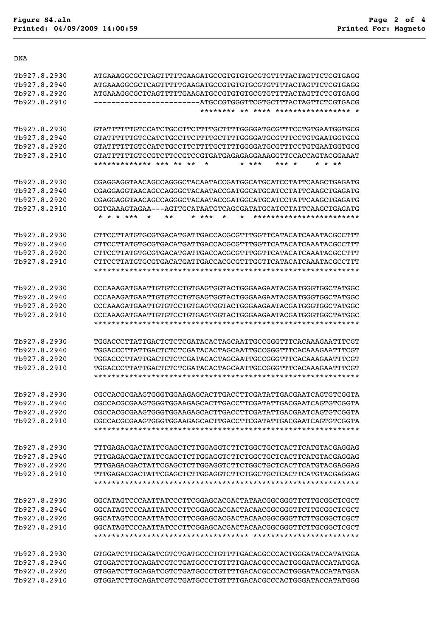DNA

| Tb927.8.2930 | ATGAAAGGCGCTCAGTTTTTGAAGATGCCGTGTGTGCGTGTTTTACTAGTTCTCGTGAGG                           |
|--------------|----------------------------------------------------------------------------------------|
| Tb927.8.2940 | ATGAAAGGCGCTCAGTTTTTGAAGATGCCGTGTGTGCGTGTTTTACTAGTTCTCGTGAGG                           |
| Tb927.8.2920 | ATGAAAGGCGCTCAGTTTTTGAAGATGCCGTGTGTGCGTGTTTTACTAGTTCTCGTGAGG                           |
| Tb927.8.2910 | ------ATGCCGTGGGTTCGTGCTTTACTAGTTCTCGTGACG                                             |
|              | ******** ** **** ***************** *                                                   |
|              |                                                                                        |
| Tb927.8.2930 | GTATTTTTTGTCCATCTGCCTTCTTTTGCTTTTGGGGATGCGTTTCCTGTGAATGGTGCG                           |
| Tb927.8.2940 | GTATTTTTTGTCCATCTGCCTTCTTTTGCTTTTGGGGATGCGTTTCCTGTGAATGGTGCG                           |
| Th927.8.2920 | GTATTTTTTGTCCATCTGCCTTCTTTTGCTTTTGGGGATGCGTTTCCTGTGAATGGTGCG                           |
| Tb927.8.2910 | GTATTTTTTGTCCGTCTTCCGTCCGTGATGAGAGAGGAAAGGTTCCACCAGTACGGAAAT                           |
|              | ************* *** ** **<br>¥<br>* ***<br>$\star$<br>*** *<br>$\star\star$              |
| Tb927.8.2930 |                                                                                        |
| Tb927.8.2940 |                                                                                        |
| Tb927.8.2920 |                                                                                        |
| Tb927.8.2910 | GGTGAAAGTAGAA---AGTTGCATAATGTCAGCGATATGCATCCTATTCAAGCTGAGATG                           |
|              | * * ***<br>$\star$<br>$\star$<br>************************<br>*<br>**<br>$\star$<br>*** |
| Th927.8.2930 |                                                                                        |
| Th927.8.2940 | CTTCCTTATGTGCGTGACATGATTGACCACGCGTTTGGTTCATACATCAAATACGCCTTT                           |
|              | CTTCCTTATGTGCGTGACATGATTGACCACGCGTTTGGTTCATACATCAAATACGCCTTT                           |
| Tb927.8.2920 | CTTCCTTATGTGCGTGACATGATTGACCACGCGTTTGGTTCATACATCAAATACGCCTTT                           |
| Tb927.8.2910 | CTTCCTTATGTGCGTGACATGATTGACCACGCGTTTGGTTCATACATCAAATACGCCTTT                           |
|              |                                                                                        |
| Tb927.8.2930 | CCCAAAGATGAATTGTGTCCTGTGAGTGGTACTGGGAAGAATACGATGGGTGGCTATGGC                           |
| Tb927.8.2940 | CCCAAAGATGAATTGTGTCCTGTGAGTGGTACTGGGAAGAATACGATGGGTGGCTATGGC                           |
| Tb927.8.2920 | CCCAAAGATGAATTGTGTCCTGTGAGTGGTACTGGGAAGAATACGATGGGTGGCTATGGC                           |
| Tb927.8.2910 | CCCAAAGATGAATTGTGTCCTGTGAGTGGTACTGGGAAGAATACGATGGGTGGCTATGGC                           |
|              |                                                                                        |
|              |                                                                                        |
| Tb927.8.2930 | TGGACCCTTATTGACTCTCTCGATACACTAGCAATTGCCGGGTTTCACAAAGAATTTCGT                           |
| Tb927.8.2940 | TGGACCCTTATTGACTCTCTCGATACACTAGCAATTGCCGGGTTTCACAAAGAATTTCGT                           |
|              |                                                                                        |
| Tb927.8.2920 | TGGACCCTTATTGACTCTCTCGATACACTAGCAATTGCCGGGTTTCACAAAGAATTTCGT                           |
| Th927.8.2910 | TGGACCCTTATTGACTCTCTCGATACACTAGCAATTGCCGGGTTTCACAAAGAATTTCGT                           |
|              |                                                                                        |
| Tb927.8.2930 | CGCCACGCGAAGTGGGTGGAAGAGCACTTGACCTTCGATATTGACGAATCAGTGTCGGTA                           |
| Tb927.8.2940 | CGCCACGCGAAGTGGGTGGAAGAGCACTTGACCTTCGATATTGACGAATCAGTGTCGGTA                           |
| Th927.8.2920 | CGCCACGCGAAGTGGGTGGAAGAGCACTTGACCTTCGATATTGACGAATCAGTGTCGGTA                           |
| Tb927.8.2910 | CGCCACGCGAAGTGGGTGGAAGAGCACTTGACCTTCGATATTGACGAATCAGTGTCGGTA                           |
|              |                                                                                        |
| Tb927.8.2930 | TTTGAGACGACTATTCGAGCTCTTGGAGGTCTTCTGGCTGCTCACTTCATGTACGAGGAG                           |
| Tb927.8.2940 | TTTGAGACGACTATTCGAGCTCTTGGAGGTCTTCTGGCTGCTCACTTCATGTACGAGGAG                           |
| Tb927.8.2920 | TTTGAGACGACTATTCGAGCTCTTGGAGGTCTTCTGGCTGCTCACTTCATGTACGAGGAG                           |
|              |                                                                                        |
| Tb927.8.2910 | TTTGAGACGACTATTCGAGCTCTTGGAGGTCTTCTGGCTGCTCACTTCATGTACGAGGAG                           |
|              |                                                                                        |
| Tb927.8.2930 | GGCATAGTCCCAATTATCCCTTCGGAGCACGACTATAACGGCGGGTTCTTGCGGCTCGCT                           |
| Tb927.8.2940 | GGCATAGTCCCAATTATCCCTTCGGAGCACGACTACAACGGCGGGTTCTTGCGGCTCGCT                           |
| Tb927.8.2920 | GGCATAGTCCCAATTATCCCTTCGGAGCACGACTACAACGGCGGGTTCTTGCGGCTCGCT                           |
| Tb927.8.2910 | GGCATAGTCCCAATTATCCCTTCGGAGCACGACTACAACGGCGGGTTCTTGCGGCTCGCT                           |
|              |                                                                                        |
| Tb927.8.2930 | GTGGATCTTGCAGATCGTCTGATGCCCTGTTTTGACACGCCCACTGGGATACCATATGGA                           |
| Tb927.8.2940 | GTGGATCTTGCAGATCGTCTGATGCCCTGTTTTGACACGCCCACTGGGATACCATATGGA                           |
| Tb927.8.2920 | GTGGATCTTGCAGATCGTCTGATGCCCTGTTTTGACACGCCCACTGGGATACCATATGGA                           |
|              |                                                                                        |
| Tb927.8.2910 | GTGGATCTTGCAGATCGTCTGATGCCCTGTTTTGACACGCCCACTGGGATACCATATGGG                           |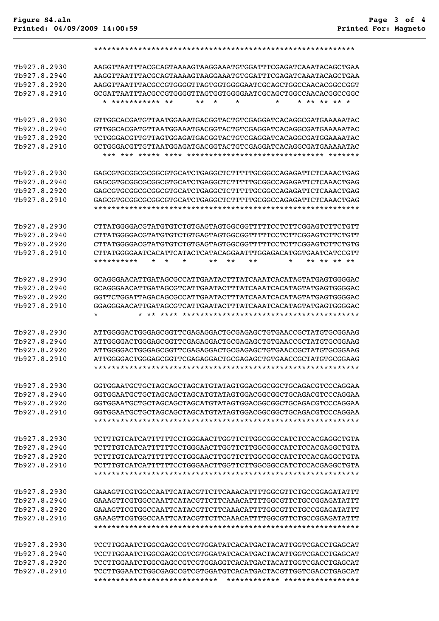## Tb927.8.2930 AAGGTTAATTTACGCAGTAAAAGTAAGGAAATGTGGATTTCGAGATCAAATACAGCTGAA Tb927.8.2940 AAGGTTAATTTACGCAGTAAAAGTAAGGAAATGTGGATTTCGAGATCAAATACAGCTGAA Tb927.8.2920 AAGGTTAATTTACGCCGTGGGGTTAGTGGTGGGGAATCGCAGCTGGCCAACACGGCCGGT Tb927.8.2910 GCGATTAATTTACGCCGTGGGGTTAGTGGTGGGGAATCGCAGCTGGCCAACACGGCCGGC \* \*\*\*\*\*\*\*\*\*\*\* \*\* \*\* \* \* \* \* \*\* \*\* \*\* \* Tb927.8.2930 GTTGGCACGATGTTAATGGAAATGACGGTACTGTCGAGGATCACAGGCGATGAAAAATAC Tb927.8.2940 GTTGGCACGATGTTAATGGAAATGACGGTACTGTCGAGGATCACAGGCGATGAAAAATAC Tb927.8.2920 TCTGGGACGTTGTTAGTGGAGATGACGGTACTGTCGAGGATCACAGGCGATGGAAAATAC Tb927.8.2910 GCTGGGACGTTGTTAATGGAGATGACGGTACTGTCGAGGATCACAGGCGATGAAAAATAC \*\*\* \*\*\* \*\*\*\*\* \*\*\*\* \*\*\*\*\*\*\*\*\*\*\*\*\*\*\*\*\*\*\*\*\*\*\*\*\*\*\*\*\*\*\* \*\*\*\*\*\*\* Tb927.8.2930 GAGCGTGCGGCGCGGCGTGCATCTGAGGCTCTTTTTGCGGCCAGAGATTCTCAAACTGAG Tb927.8.2940 GAGCGTGCGGCGCGGCGTGCATCTGAGGCTCTTTTTGCGGCCAGAGATTCTCAAACTGAG Tb927.8.2920 GAGCGTGCGGCGCGGCGTGCATCTGAGGCTCTTTTTGCGGCCAGAGATTCTCAAACTGAG Tb927.8.2910 GAGCGTGCGGCGCGGCGTGCATCTGAGGCTCTTTTTGCGGCCAGAGATTCTCAAACTGAG \*\*\*\*\*\*\*\*\*\*\*\*\*\*\*\*\*\*\*\*\*\*\*\*\*\*\*\*\*\*\*\*\*\*\*\*\*\*\*\*\*\*\*\*\*\*\*\*\*\*\*\*\*\*\*\*\*\*\*\* Tb927.8.2930 CTTATGGGGACGTATGTGTCTGTGAGTAGTGGCGGTTTTTCCTCTTCGGAGTCTTCTGTT Tb927.8.2940 CTTATGGGGACGTATGTGTCTGTGAGTAGTGGCGGTTTTTCCTCTTCGGAGTCTTCTGTT Tb927.8.2920 CTTATGGGGACGTATGTGTCTGTGAGTAGTGGCGGTTTTTCCTCTTCGGAGTCTTCTGTG Tb927.8.2910 CTTATGGGGAATCACATTCATACTCATACAGGAATTTGGAGACATGGTGAATCATCCGTT \*\*\*\*\*\*\*\*\* \* \* \* \*\* \*\* \*\* \* \* \*\* \*\* \*\* Tb927.8.2930 GCAGGGAACATTGATAGCGCCATTGAATACTTTATCAAATCACATAGTATGAGTGGGGAC Tb927.8.2940 GCAGGGAACATTGATAGCGTCATTGAATACTTTATCAAATCACATAGTATGAGTGGGGAC Tb927.8.2920 GGTTCTGGATTAGACAGCGCCATTGAATACTTTATCAAATCACATAGTATGAGTGGGGAC Tb927.8.2910 GGAGGGAACATTGATAGCGTCATTGAATACTTTATCAAATCACATAGTATGAGTGGGGAC \* \* \*\* \*\*\*\* \*\*\*\*\*\*\*\*\*\*\*\*\*\*\*\*\*\*\*\*\*\*\*\*\*\*\*\*\*\*\*\*\*\*\*\*\*\*\*\* Tb927.8.2930 ATTGGGGACTGGGAGCGGTTCGAGAGGACTGCGAGAGCTGTGAACCGCTATGTGCGGAAG Tb927.8.2940 ATTGGGGACTGGGAGCGGTTCGAGAGGACTGCGAGAGCTGTGAACCGCTATGTGCGGAAG Tb927.8.2920 ATTGGGGACTGGGAGCGGTTCGAGAGGACTGCGAGAGCTGTGAACCGCTATGTGCGGAAG Tb927.8.2910 ATTGGGGACTGGGAGCGGTTCGAGAGGACTGCGAGAGCTGTGAACCGCTATGTGCGGAAG \*\*\*\*\*\*\*\*\*\*\*\*\*\*\*\*\*\*\*\*\*\*\*\*\*\*\*\*\*\*\*\*\*\*\*\*\*\*\*\*\*\*\*\*\*\*\*\*\*\*\*\*\*\*\*\*\*\*\*\* Tb927.8.2930 GGTGGAATGCTGCTAGCAGCTAGCATGTATAGTGGACGGCGGCTGCAGACGTCCCAGGAA Tb927.8.2940 GGTGGAATGCTGCTAGCAGCTAGCATGTATAGTGGACGGCGGCTGCAGACGTCCCAGGAA Tb927.8.2920 GGTGGAATGCTGCTAGCAGCTAGCATGTATAGTGGACGGCGGCTGCAGACGTCCCAGGAA Tb927.8.2910 GGTGGAATGCTGCTAGCAGCTAGCATGTATAGTGGACGGCGGCTGCAGACGTCCCAGGAA \*\*\*\*\*\*\*\*\*\*\*\*\*\*\*\*\*\*\*\*\*\*\*\*\*\*\*\*\*\*\*\*\*\*\*\*\*\*\*\*\*\*\*\*\*\*\*\*\*\*\*\*\*\*\*\*\*\*\*\* Tb927.8.2930 TCTTTGTCATCATTTTTTCCTGGGAACTTGGTTCTTGGCGGCCATCTCCACGAGGCTGTA Tb927.8.2940 TCTTTGTCATCATTTTTTCCTGGGAACTTGGTTCTTGGCGGCCATCTCCACGAGGCTGTA Tb927.8.2920 TCTTTGTCATCATTTTTTCCTGGGAACTTGGTTCTTGGCGGCCATCTCCACGAGGCTGTA Tb927.8.2910 TCTTTGTCATCATTTTTTCCTGGGAACTTGGTTCTTGGCGGCCATCTCCACGAGGCTGTA \*\*\*\*\*\*\*\*\*\*\*\*\*\*\*\*\*\*\*\*\*\*\*\*\*\*\*\*\*\*\*\*\*\*\*\*\*\*\*\*\*\*\*\*\*\*\*\*\*\*\*\*\*\*\*\*\*\*\*\* Tb927.8.2930 GAAAGTTCGTGGCCAATTCATACGTTCTTCAAACATTTTGGCGTTCTGCCGGAGATATTT Tb927.8.2940 GAAAGTTCGTGGCCAATTCATACGTTCTTCAAACATTTTGGCGTTCTGCCGGAGATATTT Tb927.8.2920 GAAAGTTCGTGGCCAATTCATACGTTCTTCAAACATTTTGGCGTTCTGCCGGAGATATTT Tb927.8.2910 GAAAGTTCGTGGCCAATTCATACGTTCTTCAAACATTTTGGCGTTCTGCCGGAGATATTT \*\*\*\*\*\*\*\*\*\*\*\*\*\*\*\*\*\*\*\*\*\*\*\*\*\*\*\*\*\*\*\*\*\*\*\*\*\*\*\*\*\*\*\*\*\*\*\*\*\*\*\*\*\*\*\*\*\*\*\* Tb927.8.2930 TCCTTGGAATCTGGCGAGCCGTCGTGGATATCACATGACTACATTGGTCGACCTGAGCAT Tb927.8.2940 TCCTTGGAATCTGGCGAGCCGTCGTGGATATCACATGACTACATTGGTCGACCTGAGCAT Tb927.8.2920 TCCTTGGAATCTGGCGAGCCGTCGTGGAGGTCACATGACTACATTGGTCGACCTGAGCAT Tb927.8.2910 TCCTTGGAATCTGGCGAGCCGTCGTGGATGTCACATGACTACGTTGGTCGACCTGAGCAT

\*\*\*\*\*\*\*\*\*\*\*\*\*\*\*\*\*\*\*\*\*\*\*\*\*\*\*\* \*\*\*\*\*\*\*\*\*\*\*\* \*\*\*\*\*\*\*\*\*\*\*\*\*\*\*\*\*

\*\*\*\*\*\*\*\*\*\*\*\*\*\*\*\*\*\*\*\*\*\*\*\*\*\*\*\*\*\*\*\*\*\*\*\*\*\*\*\*\*\*\*\*\*\*\*\*\*\*\*\*\*\*\*\*\*\*\*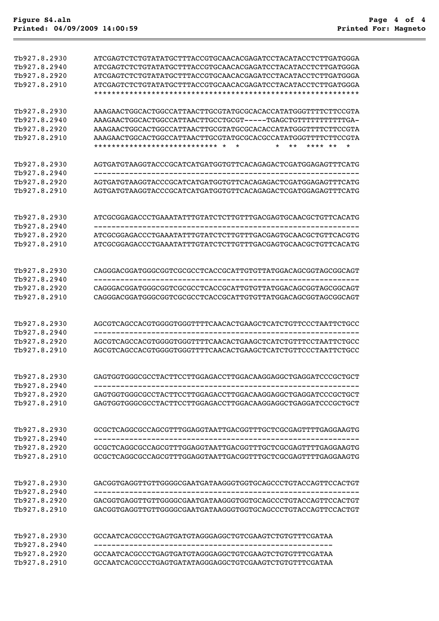| Tb927.8.2930<br>Tb927.8.2940<br>Tb927.8.2920<br>Tb927.8.2910 | ATCGAGTCTCTGTATATGCTTTACCGTGCAACACGAGATCCTACATACCTCTTGATGGGA<br>ATCGAGTCTCTGTATATGCTTTACCGTGCAACACGAGATCCTACATACCTCTTGATGGGA<br>ATCGAGTCTCTGTATATGCTTTACCGTGCAACACGAGATCCTACATACCTCTTGATGGGA<br>ATCGAGTCTCTGTATATGCTTTACCGTGCAACACGAGATCCTACATACCTCTTGATGGGA                  |
|--------------------------------------------------------------|-------------------------------------------------------------------------------------------------------------------------------------------------------------------------------------------------------------------------------------------------------------------------------|
| Tb927.8.2930<br>Tb927.8.2940<br>Th927.8.2920<br>Tb927.8.2910 | AAAGAACTGGCACTGGCCATTAACTTGCGTATGCGCACACCATATGGGTTTTCTTCCGTA<br>AAAGAACTGGCACTGGCCATTAACTTGCGTATGCGCACACCATATGGGTTTTCTTCCGTA<br>AAAGAACTGGCACTGGCCATTAACTTGCGTATGCGCACGCCATATGGGTTTTCTTCCGTA<br>**************************** *<br>$\star$<br>$***$<br>$\star$<br>÷<br>**** ** |
| Tb927.8.2930                                                 | AGTGATGTAAGGTACCCGCATCATGATGGTGTTCACAGAGACTCGATGGAGAGTTTCATG                                                                                                                                                                                                                  |
| Tb927.8.2940                                                 |                                                                                                                                                                                                                                                                               |
| Tb927.8.2920<br>Tb927.8.2910                                 | AGTGATGTAAGGTACCCGCATCATGATGGTGTTCACAGAGACTCGATGGAGAGTTTCATG<br>AGTGATGTAAGGTACCCGCATCATGATGGTGTTCACAGAGACTCGATGGAGAGTTTCATG                                                                                                                                                  |
| Tb927.8.2930<br>Tb927.8.2940                                 | ATCGCGGAGACCCTGAAATATTTGTATCTCTTGTTTGACGAGTGCAACGCTGTTCACATG                                                                                                                                                                                                                  |
| Tb927.8.2920                                                 | ATCGCGGAGACCCTGAAATATTTGTATCTCTTGTTTGACGAGTGCAACGCTGTTCACGTG                                                                                                                                                                                                                  |
| Th927.8.2910                                                 | ATCGCGGAGACCCTGAAATATTTGTATCTCTTGTTTGACGAGTGCAACGCTGTTCACATG                                                                                                                                                                                                                  |
| Tb927.8.2930<br>Tb927.8.2940                                 | CAGGGACGGATGGGCGGTCGCGCCTCACCGCATTGTGTTATGGACAGCGGTAGCGGCAGT                                                                                                                                                                                                                  |
| Tb927.8.2920                                                 | CAGGGACGGATGGGCGGTCGCGCCTCACCGCATTGTGTTATGGACAGCGGTAGCGGCAGT                                                                                                                                                                                                                  |
| Tb927.8.2910                                                 | CAGGGACGGATGGGCGGTCGCGCCTCACCGCATTGTGTTATGGACAGCGGTAGCGGCAGT                                                                                                                                                                                                                  |
| Tb927.8.2930<br>Tb927.8.2940                                 | AGCGTCAGCCACGTGGGGTGGGTTTTCAACACTGAAGCTCATCTGTTCCCTAATTCTGCC                                                                                                                                                                                                                  |
| Tb927.8.2920                                                 | AGCGTCAGCCACGTGGGGTGGGTTTTCAACACTGAAGCTCATCTGTTTCCTAATTCTGCC                                                                                                                                                                                                                  |
| Tb927.8.2910                                                 | AGCGTCAGCCACGTGGGGTGGGTTTTCAACACTGAAGCTCATCTGTTCCCTAATTCTGCC                                                                                                                                                                                                                  |
| Tb927.8.2930<br>Tb927.8.2940                                 | GAGTGGTGGCCGCCTACTTCCTTGGAGACCTTGGACAAGGAGGCTGAGGATCCCGCTGCT                                                                                                                                                                                                                  |
| Tb927.8.2920<br>Tb927.8.2910                                 | GAGTGGTGGCCGCCTACTTCCTTGGAGACCTTGGACAAGGAGGCTGAGGATCCCGCTGCT<br>GAGTGGTGGCGCCCTACTTCCTTGGAGACCTTGGACAAGGAGGCTGAGGATCCCGCTGCT                                                                                                                                                  |
| Tb927.8.2930<br>Tb927.8.2940                                 | GCGCTCAGGCGCCAGCGTTTGGAGGTAATTGACGGTTTGCTCGCGAGTTTTGAGGAAGTG                                                                                                                                                                                                                  |
| Tb927.8.2920                                                 | GCGCTCAGGCGCCAGCGTTTGGAGGTAATTGACGGTTTGCTCGCGAGTTTTGAGGAAGTG                                                                                                                                                                                                                  |
| Tb927.8.2910                                                 | GCGCTCAGGCGCCAGCGTTTGGAGGTAATTGACGGTTTGCTCGCGAGTTTTGAGGAAGTG                                                                                                                                                                                                                  |
| Tb927.8.2930<br>Tb927.8.2940                                 | GACGGTGAGGTTGTTGGGGCGAATGATAAGGGTGGTGCAGCCCTGTACCAGTTCCACTGT                                                                                                                                                                                                                  |
| Tb927.8.2920                                                 | GACGGTGAGGTTGTTGGGGCGAATGATAAGGGTGGTGCAGCCCTGTACCAGTTCCACTGT                                                                                                                                                                                                                  |
| Tb927.8.2910                                                 | GACGGTGAGGTTGTTGGGGCGAATGATAAGGGTGGTGCAGCCCTGTACCAGTTCCACTGT                                                                                                                                                                                                                  |
| Tb927.8.2930<br>Tb927.8.2940                                 | GCCAATCACGCCCTGAGTGATGTAGGGAGGCTGTCGAAGTCTGTGTTTCGATAA                                                                                                                                                                                                                        |
| Tb927.8.2920                                                 | GCCAATCACGCCCTGAGTGATGTAGGGAGGCTGTCGAAGTCTGTGTTTCGATAA                                                                                                                                                                                                                        |
| Tb927.8.2910                                                 | GCCAATCACGCCCTGAGTGATATAGGGAGGCTGTCGAAGTCTGTGTTTCGATAA                                                                                                                                                                                                                        |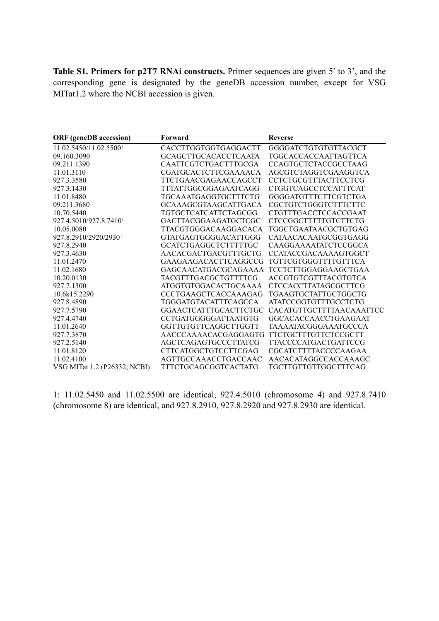**Table S1. Primers for p2T7 RNAi constructs.** Primer sequences are given 5' to 3', and the corresponding gene is designated by the geneDB accession number, except for VSG MITat1.2 where the NCBI accession is given.

| <b>ORF</b> (geneDB accession)      | Forward                     | <b>Reverse</b>              |
|------------------------------------|-----------------------------|-----------------------------|
| 11.02.5450/11.02.5500 <sup>1</sup> | CACCTTGGTGGTGAGGACTT        | GGGGATCTGTGTGTTACGCT        |
| 09.160.3090                        | <b>GCAGCTTGCACACCTCAATA</b> | TGGCACCACCAATTAGTTCA        |
| 09.211.1390                        | CAATTCGTCTGACTTTGCGA        | <b>CCAGTGCTCTACCGCCTAAG</b> |
| 11.01.3110                         | CGATGCACTCTTCGAAAACA        | AGCGTCTAGGTCGAAGGTCA        |
| 927.3.3580                         | TTCTGAACGAGAACCAGCCT        | CCTCTGCGTTTACTTCCTCG        |
| 927.3.1430                         | TTTATTGGCGGAGAATCAGG        | CTGGTCAGCCTCCATTTCAT        |
| 11.01.8480                         | TGCAAATGAGGTGCTTTCTG        | GGGGATGTTTCTTCGTCTGA        |
| 09.211.3680                        | GCAAAGCGTAAGCATTGACA        | CGCTGTCTGGGTCTTTCTTC        |
| 10.70.5440                         | TGTGCTCATCATTCTAGCGG        | CTGTTTGACCTCCACCGAAT        |
| 927.4.5010/927.8.7410 <sup>1</sup> | GACTTACGGAAGATGCTCGC        | CTCCGGCTTTTTGTCTTCTG        |
| 10.05.0080                         | TTACGTGGGACAAGGACACA        | TGGCTGAATAACGCTGTGAG        |
| 927.8.2910/2920/29301              | GTATGAGTGGGGACATTGGG        | CATAACACAATGCGGTGAGG        |
| 927.8.2940                         | GCATCTGAGGCTCTTTTTGC        | CAAGGAAAATATCTCCGGCA        |
| 927.3.4630                         | AACACGACTGACGTTTGCTG        | <b>CCATACCGACAAAAGTGGCT</b> |
| 11.01.2470                         | GAAGAAGACACTTCAGGCCG        | TGTTCGTGGGTTTTGTTTCA        |
| 11.02.1680                         | GAGCAACATGACGCAGAAAA        | <b>TCCTCTTGGAGGAAGCTGAA</b> |
| 10.20.0130                         | TACGTTTGACGCTGTTTTCG        | ACCGTGTCGTTTACGTGTCA        |
| 927.7.1300                         | ATGGTGTGGACACTGCAAAA        | <b>CTCCACCTTATAGCGCTTCG</b> |
| 10.6k15.2290                       | CCCTGAAGCTCACCAAAGAG        | TGAAGTGCTATTGCTGGCTG        |
| 927.8.4890                         | TGGGATGTACATTTCAGCCA        | <b>ATATCCGGTGTTTGCCTCTG</b> |
| 927.7.5790                         | GGAACTCATTTGCACTTCTGC       | CACATGTTGCTTTTAACAAATTCC    |
| 927.4.4740                         | CCTGATGGGGGATTAATGTG        | GGCACACCAACCTGAAGAAT        |
| 11.01.2640                         | GGTTGTGTTCAGGCTTGGTT        | TAAAATACGGGAAATGCCCA        |
| 927.7.3870                         | AACCCAAAACACGAGGAGTG        | TTCTGCTTTGTTCTCCGCTT        |
| 927.2.5140                         | AGCTCAGAGTGCCCTTATCG        | TTACCCCATGACTGATTCCG        |
| 11.01.8120                         | CTTCATGGCTGTCCTTCGAG        | <b>CGCATCTTTTACCCCAAGAA</b> |
| 11.02.4100                         | AGTTGCCAAACCTGACCAAC        | AACACATAGGCCACCAAAGC        |
| VSG MITat 1.2 (P26332; NCBI)       | TTTCTGCAGCGGTCACTATG        | TGCTTGTTGTTGGCTTTCAG        |

1: 11.02.5450 and 11.02.5500 are identical, 927.4.5010 (chromosome 4) and 927.8.7410 (chromosome 8) are identical, and 927.8.2910, 927.8.2920 and 927.8.2930 are identical.